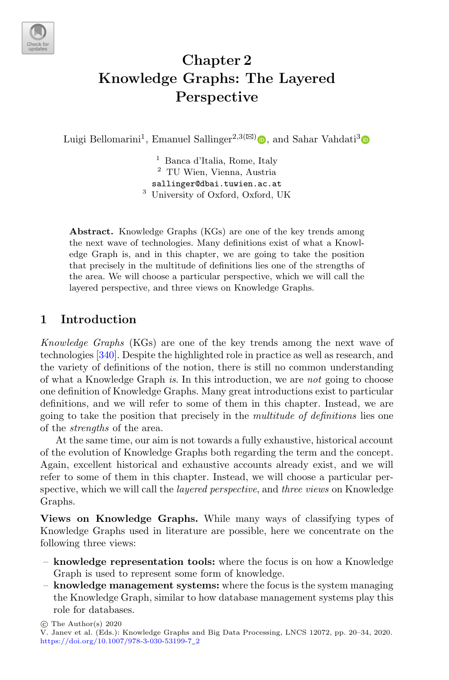

# **Chapter 2 Knowledge Graphs: The Layered Perspective**

Luigi Bellomarini<sup>1</sup>[,](http://orcid.org/0000-0001-7441-129X) Emanuel Sallinger<sup>2,[3](http://orcid.org/0000-0002-7171-169X)( $\boxtimes$ )</sup> and Sahar Vahdati<sup>3</sup>

 Banca d'Italia, Rome, Italy TU Wien, Vienna, Austria sallinger@dbai.tuwien.ac.at University of Oxford, Oxford, UK

**Abstract.** Knowledge Graphs (KGs) are one of the key trends among the next wave of technologies. Many definitions exist of what a Knowledge Graph is, and in this chapter, we are going to take the position that precisely in the multitude of definitions lies one of the strengths of the area. We will choose a particular perspective, which we will call the layered perspective, and three views on Knowledge Graphs.

# **1 Introduction**

*Knowledge Graphs* (KGs) are one of the key trends among the next wave of technologies [340]. Despite the highlighted role in practice as well as research, and the variety of definitions of the notion, there is still no common understanding of what a Knowledge Graph *is*. In this introduction, we are *not* going to choose one definition of Knowledge Graphs. Many great introductions exist to particular definitions, and we will refer to some of them in this chapter. Instead, we are going to take the position that precisely in the *multitude of definitions* lies one of the *strengths* of the area.

At the same time, our aim is not towards a fully exhaustive, historical account of the evolution of Knowledge Graphs both regarding the term and the concept. Again, excellent historical and exhaustive accounts already exist, and we will refer to some of them in this chapter. Instead, we will choose a particular perspective, which we will call the *layered perspective*, and *three views* on Knowledge Graphs.

**Views on Knowledge Graphs.** While many ways of classifying types of Knowledge Graphs used in literature are possible, here we concentrate on the following three views:

- **knowledge representation tools:** where the focus is on how a Knowledge Graph is used to represent some form of knowledge.
- **knowledge management systems:** where the focus is the system managing the Knowledge Graph, similar to how database management systems play this role for databases.

 $\circ$  The Author(s) 2020

V. Janev et al. (Eds.): Knowledge Graphs and Big Data Processing, LNCS 12072, pp. 20–34, 2020. [https://doi.org/10.1007/978-3-030-53199-7](https://doi.org/10.1007/978-3-030-53199-7_2)\_2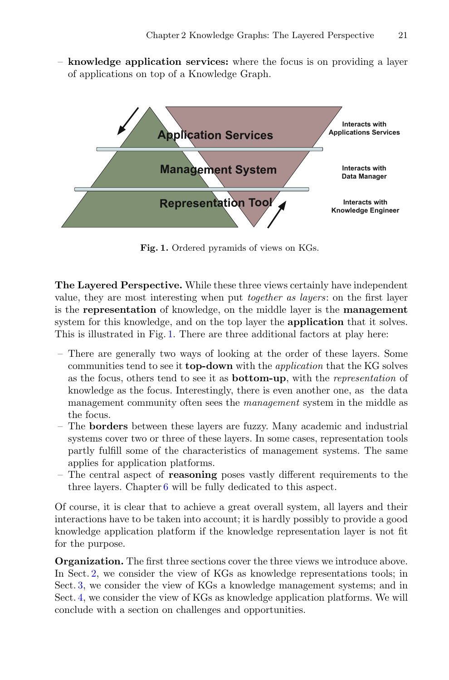– **knowledge application services:** where the focus is on providing a layer of applications on top of a Knowledge Graph.



<span id="page-1-0"></span>**Fig. 1.** Ordered pyramids of views on KGs.

**The Layered Perspective.** While these three views certainly have independent value, they are most interesting when put *together as layers*: on the first layer is the **representation** of knowledge, on the middle layer is the **management** system for this knowledge, and on the top layer the **application** that it solves. This is illustrated in Fig. [1.](#page-1-0) There are three additional factors at play here:

- There are generally two ways of looking at the order of these layers. Some communities tend to see it **top-down** with the *application* that the KG solves as the focus, others tend to see it as **bottom-up**, with the *representation* of knowledge as the focus. Interestingly, there is even another one, as the data management community often sees the *management* system in the middle as the focus.
- The **borders** between these layers are fuzzy. Many academic and industrial systems cover two or three of these layers. In some cases, representation tools partly fulfill some of the characteristics of management systems. The same applies for application platforms.
- The central aspect of **reasoning** poses vastly different requirements to the three layers. Chapter [6](http://dx.doi.org/10.1007/978-3-030-53199-7_6) will be fully dedicated to this aspect.

Of course, it is clear that to achieve a great overall system, all layers and their interactions have to be taken into account; it is hardly possibly to provide a good knowledge application platform if the knowledge representation layer is not fit for the purpose.

**Organization.** The first three sections cover the three views we introduce above. In Sect. [2,](#page-2-0) we consider the view of KGs as knowledge representations tools; in Sect. [3,](#page-6-0) we consider the view of KGs a knowledge management systems; and in Sect. [4,](#page-10-0) we consider the view of KGs as knowledge application platforms. We will conclude with a section on challenges and opportunities.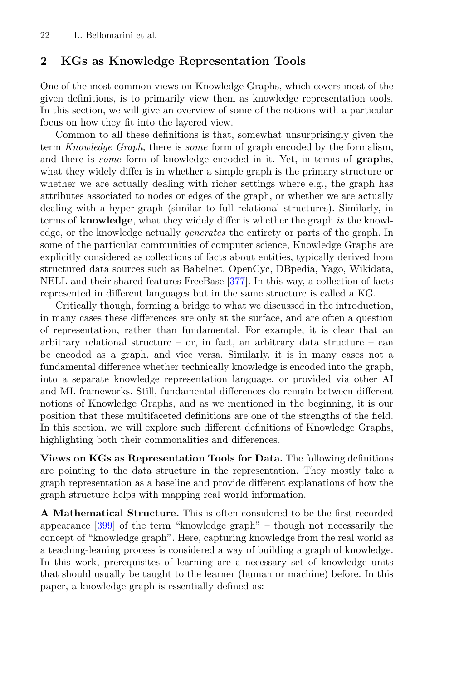### <span id="page-2-0"></span>**2 KGs as Knowledge Representation Tools**

One of the most common views on Knowledge Graphs, which covers most of the given definitions, is to primarily view them as knowledge representation tools. In this section, we will give an overview of some of the notions with a particular focus on how they fit into the layered view.

Common to all these definitions is that, somewhat unsurprisingly given the term *Knowledge Graph*, there is *some* form of graph encoded by the formalism, and there is *some* form of knowledge encoded in it. Yet, in terms of **graphs**, what they widely differ is in whether a simple graph is the primary structure or whether we are actually dealing with richer settings where e.g., the graph has attributes associated to nodes or edges of the graph, or whether we are actually dealing with a hyper-graph (similar to full relational structures). Similarly, in terms of **knowledge**, what they widely differ is whether the graph *is* the knowledge, or the knowledge actually *generates* the entirety or parts of the graph. In some of the particular communities of computer science, Knowledge Graphs are explicitly considered as collections of facts about entities, typically derived from structured data sources such as Babelnet, OpenCyc, DBpedia, Yago, Wikidata, NELL and their shared features FreeBase [377]. In this way, a collection of facts represented in different languages but in the same structure is called a KG.

Critically though, forming a bridge to what we discussed in the introduction, in many cases these differences are only at the surface, and are often a question of representation, rather than fundamental. For example, it is clear that an arbitrary relational structure – or, in fact, an arbitrary data structure – can be encoded as a graph, and vice versa. Similarly, it is in many cases not a fundamental difference whether technically knowledge is encoded into the graph, into a separate knowledge representation language, or provided via other AI and ML frameworks. Still, fundamental differences do remain between different notions of Knowledge Graphs, and as we mentioned in the beginning, it is our position that these multifaceted definitions are one of the strengths of the field. In this section, we will explore such different definitions of Knowledge Graphs, highlighting both their commonalities and differences.

**Views on KGs as Representation Tools for Data.** The following definitions are pointing to the data structure in the representation. They mostly take a graph representation as a baseline and provide different explanations of how the graph structure helps with mapping real world information.

**A Mathematical Structure.** This is often considered to be the first recorded appearance [399] of the term "knowledge graph" – though not necessarily the concept of "knowledge graph". Here, capturing knowledge from the real world as a teaching-leaning process is considered a way of building a graph of knowledge. In this work, prerequisites of learning are a necessary set of knowledge units that should usually be taught to the learner (human or machine) before. In this paper, a knowledge graph is essentially defined as: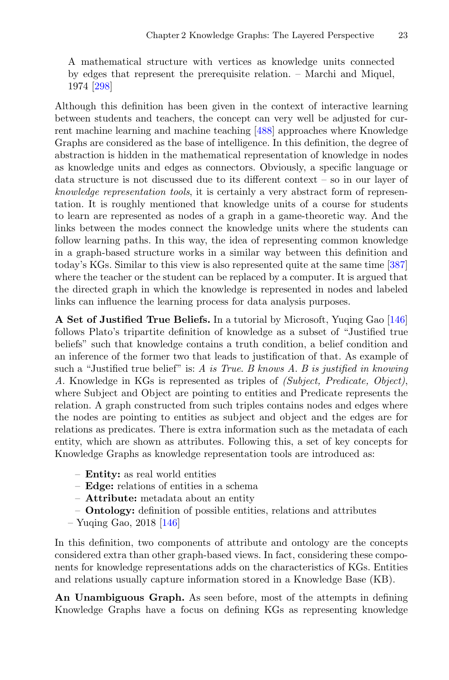A mathematical structure with vertices as knowledge units connected by edges that represent the prerequisite relation. – Marchi and Miquel, 1974 [298]

Although this definition has been given in the context of interactive learning between students and teachers, the concept can very well be adjusted for current machine learning and machine teaching [488] approaches where Knowledge Graphs are considered as the base of intelligence. In this definition, the degree of abstraction is hidden in the mathematical representation of knowledge in nodes as knowledge units and edges as connectors. Obviously, a specific language or data structure is not discussed due to its different context – so in our layer of *knowledge representation tools*, it is certainly a very abstract form of representation. It is roughly mentioned that knowledge units of a course for students to learn are represented as nodes of a graph in a game-theoretic way. And the links between the modes connect the knowledge units where the students can follow learning paths. In this way, the idea of representing common knowledge in a graph-based structure works in a similar way between this definition and today's KGs. Similar to this view is also represented quite at the same time [387] where the teacher or the student can be replaced by a computer. It is argued that the directed graph in which the knowledge is represented in nodes and labeled links can influence the learning process for data analysis purposes.

**A Set of Justified True Beliefs.** In a tutorial by Microsoft, Yuqing Gao [146] follows Plato's tripartite definition of knowledge as a subset of "Justified true beliefs" such that knowledge contains a truth condition, a belief condition and an inference of the former two that leads to justification of that. As example of such a "Justified true belief" is: *A is True*. *B knows A*. *B is justified in knowing A*. Knowledge in KGs is represented as triples of *(Subject, Predicate, Object)*, where Subject and Object are pointing to entities and Predicate represents the relation. A graph constructed from such triples contains nodes and edges where the nodes are pointing to entities as subject and object and the edges are for relations as predicates. There is extra information such as the metadata of each entity, which are shown as attributes. Following this, a set of key concepts for Knowledge Graphs as knowledge representation tools are introduced as:

- **Entity:** as real world entities
- **Edge:** relations of entities in a schema
- **Attribute:** metadata about an entity
- **Ontology:** definition of possible entities, relations and attributes
- Yuqing Gao, 2018 [146]

In this definition, two components of attribute and ontology are the concepts considered extra than other graph-based views. In fact, considering these components for knowledge representations adds on the characteristics of KGs. Entities and relations usually capture information stored in a Knowledge Base (KB).

**An Unambiguous Graph.** As seen before, most of the attempts in defining Knowledge Graphs have a focus on defining KGs as representing knowledge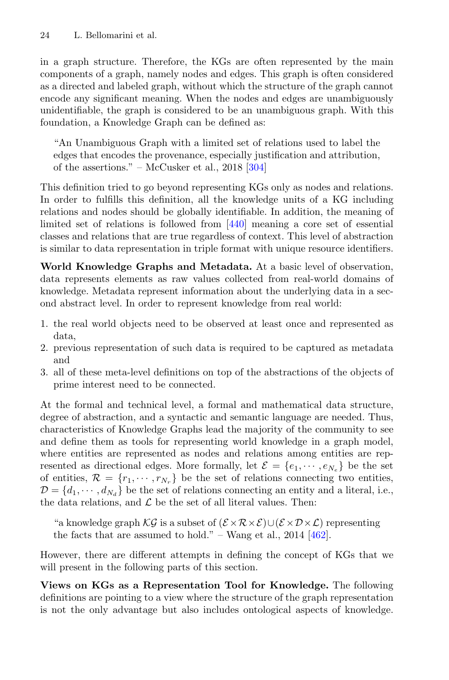in a graph structure. Therefore, the KGs are often represented by the main components of a graph, namely nodes and edges. This graph is often considered as a directed and labeled graph, without which the structure of the graph cannot encode any significant meaning. When the nodes and edges are unambiguously unidentifiable, the graph is considered to be an unambiguous graph. With this foundation, a Knowledge Graph can be defined as:

"An Unambiguous Graph with a limited set of relations used to label the edges that encodes the provenance, especially justification and attribution, of the assertions." – McCusker et al.,  $2018$  [304]

This definition tried to go beyond representing KGs only as nodes and relations. In order to fulfills this definition, all the knowledge units of a KG including relations and nodes should be globally identifiable. In addition, the meaning of limited set of relations is followed from [440] meaning a core set of essential classes and relations that are true regardless of context. This level of abstraction is similar to data representation in triple format with unique resource identifiers.

**World Knowledge Graphs and Metadata.** At a basic level of observation, data represents elements as raw values collected from real-world domains of knowledge. Metadata represent information about the underlying data in a second abstract level. In order to represent knowledge from real world:

- 1. the real world objects need to be observed at least once and represented as data,
- 2. previous representation of such data is required to be captured as metadata and
- 3. all of these meta-level definitions on top of the abstractions of the objects of prime interest need to be connected.

At the formal and technical level, a formal and mathematical data structure, degree of abstraction, and a syntactic and semantic language are needed. Thus, characteristics of Knowledge Graphs lead the majority of the community to see and define them as tools for representing world knowledge in a graph model, where entities are represented as nodes and relations among entities are represented as directional edges. More formally, let  $\mathcal{E} = \{e_1, \dots, e_{N_e}\}\$ be the set of entities,  $\mathcal{R} = \{r_1, \dots, r_{N_r}\}\$ be the set of relations connecting two entities,  $\mathcal{D} = \{d_1, \dots, d_{N_d}\}\$ be the set of relations connecting an entity and a literal, i.e., the data relations, and  $\mathcal L$  be the set of all literal values. Then:

"a knowledge graph  $\mathcal{KG}$  is a subset of  $(\mathcal{E} \times \mathcal{R} \times \mathcal{E}) \cup (\mathcal{E} \times \mathcal{D} \times \mathcal{L})$  representing the facts that are assumed to hold." – Wang et al., 2014  $[462]$ .

However, there are different attempts in defining the concept of KGs that we will present in the following parts of this section.

**Views on KGs as a Representation Tool for Knowledge.** The following definitions are pointing to a view where the structure of the graph representation is not the only advantage but also includes ontological aspects of knowledge.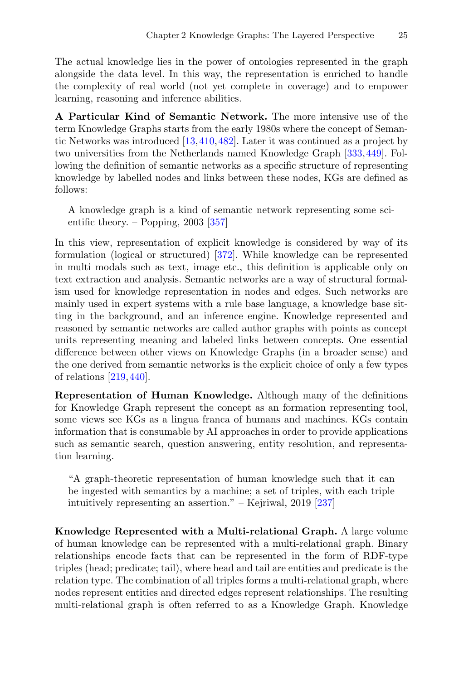The actual knowledge lies in the power of ontologies represented in the graph alongside the data level. In this way, the representation is enriched to handle the complexity of real world (not yet complete in coverage) and to empower learning, reasoning and inference abilities.

**A Particular Kind of Semantic Network.** The more intensive use of the term Knowledge Graphs starts from the early 1980s where the concept of Semantic Networks was introduced [13,410,482]. Later it was continued as a project by two universities from the Netherlands named Knowledge Graph [333,449]. Following the definition of semantic networks as a specific structure of representing knowledge by labelled nodes and links between these nodes, KGs are defined as follows:

A knowledge graph is a kind of semantic network representing some scientific theory. – Popping,  $2003$  [ $357$ ]

In this view, representation of explicit knowledge is considered by way of its formulation (logical or structured) [372]. While knowledge can be represented in multi modals such as text, image etc., this definition is applicable only on text extraction and analysis. Semantic networks are a way of structural formalism used for knowledge representation in nodes and edges. Such networks are mainly used in expert systems with a rule base language, a knowledge base sitting in the background, and an inference engine. Knowledge represented and reasoned by semantic networks are called author graphs with points as concept units representing meaning and labeled links between concepts. One essential difference between other views on Knowledge Graphs (in a broader sense) and the one derived from semantic networks is the explicit choice of only a few types of relations [219,440].

**Representation of Human Knowledge.** Although many of the definitions for Knowledge Graph represent the concept as an formation representing tool, some views see KGs as a lingua franca of humans and machines. KGs contain information that is consumable by AI approaches in order to provide applications such as semantic search, question answering, entity resolution, and representation learning.

"A graph-theoretic representation of human knowledge such that it can be ingested with semantics by a machine; a set of triples, with each triple intuitively representing an assertion." – Kejriwal, 2019 [237]

**Knowledge Represented with a Multi-relational Graph.** A large volume of human knowledge can be represented with a multi-relational graph. Binary relationships encode facts that can be represented in the form of RDF-type triples (head; predicate; tail), where head and tail are entities and predicate is the relation type. The combination of all triples forms a multi-relational graph, where nodes represent entities and directed edges represent relationships. The resulting multi-relational graph is often referred to as a Knowledge Graph. Knowledge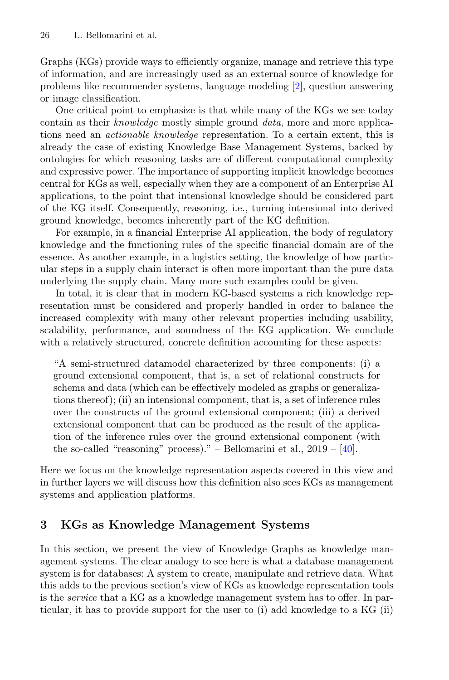Graphs (KGs) provide ways to efficiently organize, manage and retrieve this type of information, and are increasingly used as an external source of knowledge for problems like recommender systems, language modeling [2], question answering or image classification.

One critical point to emphasize is that while many of the KGs we see today contain as their *knowledge* mostly simple ground *data*, more and more applications need an *actionable knowledge* representation. To a certain extent, this is already the case of existing Knowledge Base Management Systems, backed by ontologies for which reasoning tasks are of different computational complexity and expressive power. The importance of supporting implicit knowledge becomes central for KGs as well, especially when they are a component of an Enterprise AI applications, to the point that intensional knowledge should be considered part of the KG itself. Consequently, reasoning, i.e., turning intensional into derived ground knowledge, becomes inherently part of the KG definition.

For example, in a financial Enterprise AI application, the body of regulatory knowledge and the functioning rules of the specific financial domain are of the essence. As another example, in a logistics setting, the knowledge of how particular steps in a supply chain interact is often more important than the pure data underlying the supply chain. Many more such examples could be given.

In total, it is clear that in modern KG-based systems a rich knowledge representation must be considered and properly handled in order to balance the increased complexity with many other relevant properties including usability, scalability, performance, and soundness of the KG application. We conclude with a relatively structured, concrete definition accounting for these aspects:

"A semi-structured datamodel characterized by three components: (i) a ground extensional component, that is, a set of relational constructs for schema and data (which can be effectively modeled as graphs or generalizations thereof); (ii) an intensional component, that is, a set of inference rules over the constructs of the ground extensional component; (iii) a derived extensional component that can be produced as the result of the application of the inference rules over the ground extensional component (with the so-called "reasoning" process)." – Bellomarini et al.,  $2019 - 40$ .

Here we focus on the knowledge representation aspects covered in this view and in further layers we will discuss how this definition also sees KGs as management systems and application platforms.

# <span id="page-6-0"></span>**3 KGs as Knowledge Management Systems**

In this section, we present the view of Knowledge Graphs as knowledge management systems. The clear analogy to see here is what a database management system is for databases: A system to create, manipulate and retrieve data. What this adds to the previous section's view of KGs as knowledge representation tools is the *service* that a KG as a knowledge management system has to offer. In particular, it has to provide support for the user to (i) add knowledge to a KG (ii)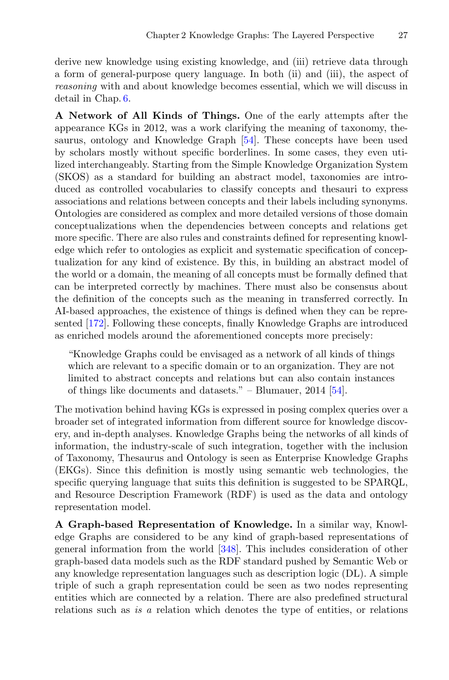derive new knowledge using existing knowledge, and (iii) retrieve data through a form of general-purpose query language. In both (ii) and (iii), the aspect of *reasoning* with and about knowledge becomes essential, which we will discuss in detail in Chap. [6.](http://dx.doi.org/10.1007/978-3-030-53199-7_6)

**A Network of All Kinds of Things.** One of the early attempts after the appearance KGs in 2012, was a work clarifying the meaning of taxonomy, thesaurus, ontology and Knowledge Graph [54]. These concepts have been used by scholars mostly without specific borderlines. In some cases, they even utilized interchangeably. Starting from the Simple Knowledge Organization System (SKOS) as a standard for building an abstract model, taxonomies are introduced as controlled vocabularies to classify concepts and thesauri to express associations and relations between concepts and their labels including synonyms. Ontologies are considered as complex and more detailed versions of those domain conceptualizations when the dependencies between concepts and relations get more specific. There are also rules and constraints defined for representing knowledge which refer to ontologies as explicit and systematic specification of conceptualization for any kind of existence. By this, in building an abstract model of the world or a domain, the meaning of all concepts must be formally defined that can be interpreted correctly by machines. There must also be consensus about the definition of the concepts such as the meaning in transferred correctly. In AI-based approaches, the existence of things is defined when they can be represented [172]. Following these concepts, finally Knowledge Graphs are introduced as enriched models around the aforementioned concepts more precisely:

"Knowledge Graphs could be envisaged as a network of all kinds of things which are relevant to a specific domain or to an organization. They are not limited to abstract concepts and relations but can also contain instances of things like documents and datasets." – Blumauer, 2014 [54].

The motivation behind having KGs is expressed in posing complex queries over a broader set of integrated information from different source for knowledge discovery, and in-depth analyses. Knowledge Graphs being the networks of all kinds of information, the industry-scale of such integration, together with the inclusion of Taxonomy, Thesaurus and Ontology is seen as Enterprise Knowledge Graphs (EKGs). Since this definition is mostly using semantic web technologies, the specific querying language that suits this definition is suggested to be SPARQL, and Resource Description Framework (RDF) is used as the data and ontology representation model.

**A Graph-based Representation of Knowledge.** In a similar way, Knowledge Graphs are considered to be any kind of graph-based representations of general information from the world [348]. This includes consideration of other graph-based data models such as the RDF standard pushed by Semantic Web or any knowledge representation languages such as description logic (DL). A simple triple of such a graph representation could be seen as two nodes representing entities which are connected by a relation. There are also predefined structural relations such as *is a* relation which denotes the type of entities, or relations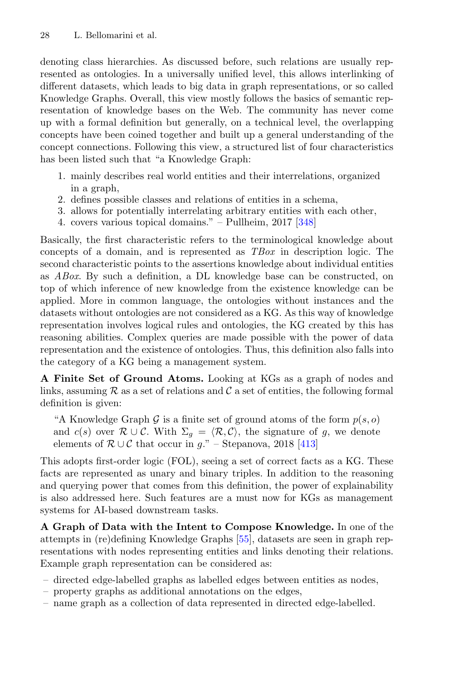denoting class hierarchies. As discussed before, such relations are usually represented as ontologies. In a universally unified level, this allows interlinking of different datasets, which leads to big data in graph representations, or so called Knowledge Graphs. Overall, this view mostly follows the basics of semantic representation of knowledge bases on the Web. The community has never come up with a formal definition but generally, on a technical level, the overlapping concepts have been coined together and built up a general understanding of the concept connections. Following this view, a structured list of four characteristics has been listed such that "a Knowledge Graph:

- 1. mainly describes real world entities and their interrelations, organized in a graph,
- 2. defines possible classes and relations of entities in a schema,
- 3. allows for potentially interrelating arbitrary entities with each other,
- 4. covers various topical domains." Pullheim, 2017 [348]

Basically, the first characteristic refers to the terminological knowledge about concepts of a domain, and is represented as *TBox* in description logic. The second characteristic points to the assertions knowledge about individual entities as *ABox*. By such a definition, a DL knowledge base can be constructed, on top of which inference of new knowledge from the existence knowledge can be applied. More in common language, the ontologies without instances and the datasets without ontologies are not considered as a KG. As this way of knowledge representation involves logical rules and ontologies, the KG created by this has reasoning abilities. Complex queries are made possible with the power of data representation and the existence of ontologies. Thus, this definition also falls into the category of a KG being a management system.

**A Finite Set of Ground Atoms.** Looking at KGs as a graph of nodes and links, assuming  $R$  as a set of relations and  $C$  a set of entities, the following formal definition is given:

"A Knowledge Graph  $\mathcal G$  is a finite set of ground atoms of the form  $p(s, o)$ and  $c(s)$  over  $\mathcal{R} \cup \mathcal{C}$ . With  $\Sigma_g = \langle \mathcal{R}, \mathcal{C} \rangle$ , the signature of g, we denote elements of  $\mathcal{R} \cup \mathcal{C}$  that occur in *g*." – Stepanova, 2018 [413]

This adopts first-order logic (FOL), seeing a set of correct facts as a KG. These facts are represented as unary and binary triples. In addition to the reasoning and querying power that comes from this definition, the power of explainability is also addressed here. Such features are a must now for KGs as management systems for AI-based downstream tasks.

**A Graph of Data with the Intent to Compose Knowledge.** In one of the attempts in (re)defining Knowledge Graphs [55], datasets are seen in graph representations with nodes representing entities and links denoting their relations. Example graph representation can be considered as:

- directed edge-labelled graphs as labelled edges between entities as nodes,
- property graphs as additional annotations on the edges,
- name graph as a collection of data represented in directed edge-labelled.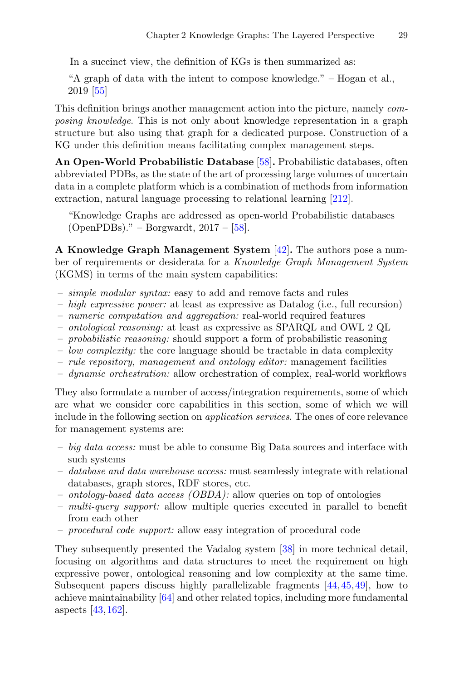In a succinct view, the definition of KGs is then summarized as:

"A graph of data with the intent to compose knowledge." – Hogan et al., 2019 [55]

This definition brings another management action into the picture, namely *composing knowledge*. This is not only about knowledge representation in a graph structure but also using that graph for a dedicated purpose. Construction of a KG under this definition means facilitating complex management steps.

**An Open-World Probabilistic Database** [58]**.** Probabilistic databases, often abbreviated PDBs, as the state of the art of processing large volumes of uncertain data in a complete platform which is a combination of methods from information extraction, natural language processing to relational learning [212].

"Knowledge Graphs are addressed as open-world Probabilistic databases  $(OpenPDBs)$ ." – Borgwardt, 2017 – [58].

**A Knowledge Graph Management System** [42]**.** The authors pose a number of requirements or desiderata for a *Knowledge Graph Management System* (KGMS) in terms of the main system capabilities:

- *simple modular syntax:* easy to add and remove facts and rules
- *high expressive power:* at least as expressive as Datalog (i.e., full recursion)
- *numeric computation and aggregation:* real-world required features
- *ontological reasoning:* at least as expressive as SPARQL and OWL 2 QL
- *probabilistic reasoning:* should support a form of probabilistic reasoning
- *low complexity:* the core language should be tractable in data complexity
- *rule repository, management and ontology editor:* management facilities
- *dynamic orchestration:* allow orchestration of complex, real-world workflows

They also formulate a number of access/integration requirements, some of which are what we consider core capabilities in this section, some of which we will include in the following section on *application services*. The ones of core relevance for management systems are:

- *big data access:* must be able to consume Big Data sources and interface with such systems
- *database and data warehouse access:* must seamlessly integrate with relational databases, graph stores, RDF stores, etc.
- *ontology-based data access (OBDA):* allow queries on top of ontologies
- *multi-query support:* allow multiple queries executed in parallel to benefit from each other
- *procedural code support:* allow easy integration of procedural code

They subsequently presented the Vadalog system [38] in more technical detail, focusing on algorithms and data structures to meet the requirement on high expressive power, ontological reasoning and low complexity at the same time. Subsequent papers discuss highly parallelizable fragments [44,45,49], how to achieve maintainability [64] and other related topics, including more fundamental aspects [43,162].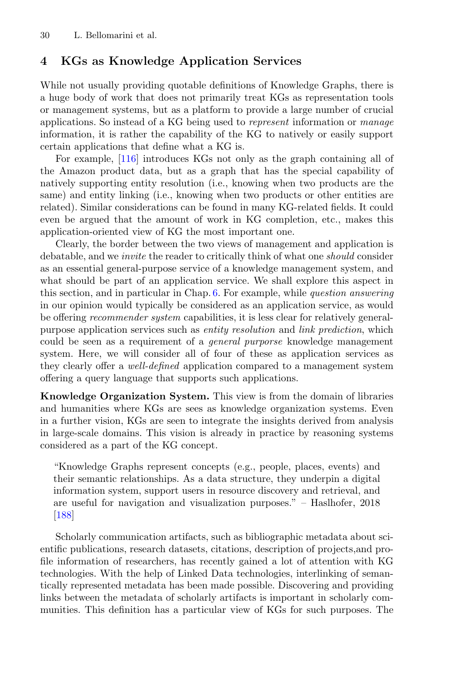### <span id="page-10-0"></span>**4 KGs as Knowledge Application Services**

While not usually providing quotable definitions of Knowledge Graphs, there is a huge body of work that does not primarily treat KGs as representation tools or management systems, but as a platform to provide a large number of crucial applications. So instead of a KG being used to *represent* information or *manage* information, it is rather the capability of the KG to natively or easily support certain applications that define what a KG is.

For example, [116] introduces KGs not only as the graph containing all of the Amazon product data, but as a graph that has the special capability of natively supporting entity resolution (i.e., knowing when two products are the same) and entity linking (i.e., knowing when two products or other entities are related). Similar considerations can be found in many KG-related fields. It could even be argued that the amount of work in KG completion, etc., makes this application-oriented view of KG the most important one.

Clearly, the border between the two views of management and application is debatable, and we *invite* the reader to critically think of what one *should* consider as an essential general-purpose service of a knowledge management system, and what should be part of an application service. We shall explore this aspect in this section, and in particular in Chap. [6.](http://dx.doi.org/10.1007/978-3-030-53199-7_6) For example, while *question answering* in our opinion would typically be considered as an application service, as would be offering *recommender system* capabilities, it is less clear for relatively generalpurpose application services such as *entity resolution* and *link prediction*, which could be seen as a requirement of a *general purporse* knowledge management system. Here, we will consider all of four of these as application services as they clearly offer a *well-defined* application compared to a management system offering a query language that supports such applications.

**Knowledge Organization System.** This view is from the domain of libraries and humanities where KGs are sees as knowledge organization systems. Even in a further vision, KGs are seen to integrate the insights derived from analysis in large-scale domains. This vision is already in practice by reasoning systems considered as a part of the KG concept.

"Knowledge Graphs represent concepts (e.g., people, places, events) and their semantic relationships. As a data structure, they underpin a digital information system, support users in resource discovery and retrieval, and are useful for navigation and visualization purposes." – Haslhofer, 2018 [188]

Scholarly communication artifacts, such as bibliographic metadata about scientific publications, research datasets, citations, description of projects,and profile information of researchers, has recently gained a lot of attention with KG technologies. With the help of Linked Data technologies, interlinking of semantically represented metadata has been made possible. Discovering and providing links between the metadata of scholarly artifacts is important in scholarly communities. This definition has a particular view of KGs for such purposes. The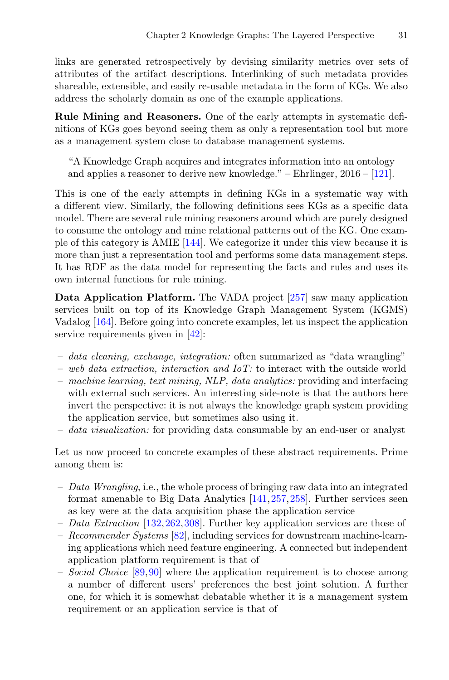links are generated retrospectively by devising similarity metrics over sets of attributes of the artifact descriptions. Interlinking of such metadata provides shareable, extensible, and easily re-usable metadata in the form of KGs. We also address the scholarly domain as one of the example applications.

**Rule Mining and Reasoners.** One of the early attempts in systematic definitions of KGs goes beyond seeing them as only a representation tool but more as a management system close to database management systems.

"A Knowledge Graph acquires and integrates information into an ontology and applies a reasoner to derive new knowledge." – Ehrlinger, 2016 – [121].

This is one of the early attempts in defining KGs in a systematic way with a different view. Similarly, the following definitions sees KGs as a specific data model. There are several rule mining reasoners around which are purely designed to consume the ontology and mine relational patterns out of the KG. One example of this category is AMIE [144]. We categorize it under this view because it is more than just a representation tool and performs some data management steps. It has RDF as the data model for representing the facts and rules and uses its own internal functions for rule mining.

**Data Application Platform.** The VADA project [257] saw many application services built on top of its Knowledge Graph Management System (KGMS) Vadalog [164]. Before going into concrete examples, let us inspect the application service requirements given in [42]:

- *data cleaning, exchange, integration:* often summarized as "data wrangling"
- *web data extraction, interaction and IoT:* to interact with the outside world
- *machine learning, text mining, NLP, data analytics:* providing and interfacing with external such services. An interesting side-note is that the authors here invert the perspective: it is not always the knowledge graph system providing the application service, but sometimes also using it.
- *data visualization:* for providing data consumable by an end-user or analyst

Let us now proceed to concrete examples of these abstract requirements. Prime among them is:

- *Data Wrangling*, i.e., the whole process of bringing raw data into an integrated format amenable to Big Data Analytics [141,257,258]. Further services seen as key were at the data acquisition phase the application service
- *Data Extraction* [132,262,308]. Further key application services are those of
- *Recommender Systems* [82], including services for downstream machine-learning applications which need feature engineering. A connected but independent application platform requirement is that of
- *Social Choice* [89,90] where the application requirement is to choose among a number of different users' preferences the best joint solution. A further one, for which it is somewhat debatable whether it is a management system requirement or an application service is that of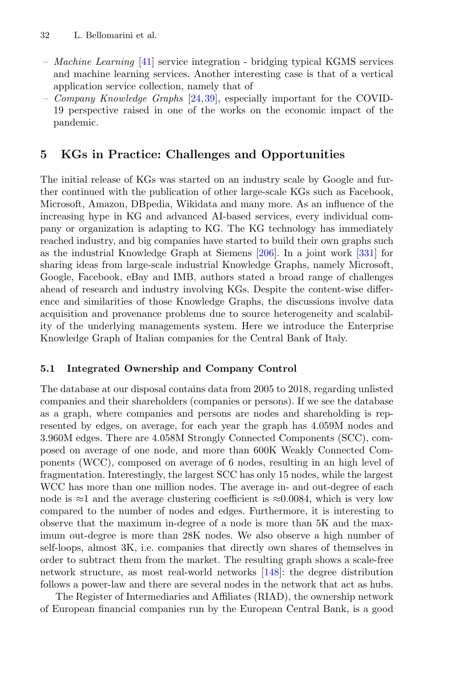- *Machine Learning* [41] service integration bridging typical KGMS services and machine learning services. Another interesting case is that of a vertical application service collection, namely that of
- *Company Knowledge Graphs* [24,39], especially important for the COVID-19 perspective raised in one of the works on the economic impact of the pandemic.

### **5 KGs in Practice: Challenges and Opportunities**

The initial release of KGs was started on an industry scale by Google and further continued with the publication of other large-scale KGs such as Facebook, Microsoft, Amazon, DBpedia, Wikidata and many more. As an influence of the increasing hype in KG and advanced AI-based services, every individual company or organization is adapting to KG. The KG technology has immediately reached industry, and big companies have started to build their own graphs such as the industrial Knowledge Graph at Siemens [206]. In a joint work [331] for sharing ideas from large-scale industrial Knowledge Graphs, namely Microsoft, Google, Facebook, eBay and IMB, authors stated a broad range of challenges ahead of research and industry involving KGs. Despite the content-wise difference and similarities of those Knowledge Graphs, the discussions involve data acquisition and provenance problems due to source heterogeneity and scalability of the underlying managements system. Here we introduce the Enterprise Knowledge Graph of Italian companies for the Central Bank of Italy.

#### **5.1 Integrated Ownership and Company Control**

The database at our disposal contains data from 2005 to 2018, regarding unlisted companies and their shareholders (companies or persons). If we see the database as a graph, where companies and persons are nodes and shareholding is represented by edges, on average, for each year the graph has 4.059M nodes and 3.960M edges. There are 4.058M Strongly Connected Components (SCC), composed on average of one node, and more than 600K Weakly Connected Components (WCC), composed on average of 6 nodes, resulting in an high level of fragmentation. Interestingly, the largest SCC has only 15 nodes, while the largest WCC has more than one million nodes. The average in- and out-degree of each node is ≈1 and the average clustering coefficient is ≈0*.*0084, which is very low compared to the number of nodes and edges. Furthermore, it is interesting to observe that the maximum in-degree of a node is more than 5K and the maximum out-degree is more than 28K nodes. We also observe a high number of self-loops, almost 3K, i.e. companies that directly own shares of themselves in order to subtract them from the market. The resulting graph shows a scale-free network structure, as most real-world networks [148]: the degree distribution follows a power-law and there are several nodes in the network that act as hubs.

The Register of Intermediaries and Affiliates (RIAD), the ownership network of European financial companies run by the European Central Bank, is a good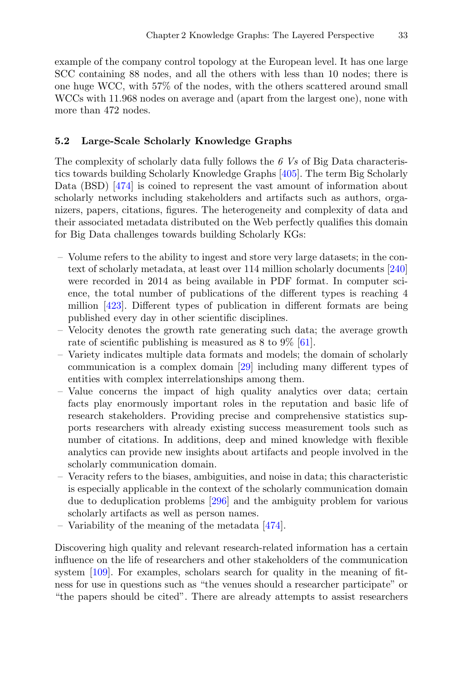example of the company control topology at the European level. It has one large SCC containing 88 nodes, and all the others with less than 10 nodes; there is one huge WCC, with 57% of the nodes, with the others scattered around small WCCs with 11.968 nodes on average and (apart from the largest one), none with more than 472 nodes.

#### **5.2 Large-Scale Scholarly Knowledge Graphs**

The complexity of scholarly data fully follows the *6 Vs* of Big Data characteristics towards building Scholarly Knowledge Graphs [405]. The term Big Scholarly Data (BSD) [474] is coined to represent the vast amount of information about scholarly networks including stakeholders and artifacts such as authors, organizers, papers, citations, figures. The heterogeneity and complexity of data and their associated metadata distributed on the Web perfectly qualifies this domain for Big Data challenges towards building Scholarly KGs:

- Volume refers to the ability to ingest and store very large datasets; in the context of scholarly metadata, at least over 114 million scholarly documents [240] were recorded in 2014 as being available in PDF format. In computer science, the total number of publications of the different types is reaching 4 million [423]. Different types of publication in different formats are being published every day in other scientific disciplines.
- Velocity denotes the growth rate generating such data; the average growth rate of scientific publishing is measured as 8 to 9% [61].
- Variety indicates multiple data formats and models; the domain of scholarly communication is a complex domain [29] including many different types of entities with complex interrelationships among them.
- Value concerns the impact of high quality analytics over data; certain facts play enormously important roles in the reputation and basic life of research stakeholders. Providing precise and comprehensive statistics supports researchers with already existing success measurement tools such as number of citations. In additions, deep and mined knowledge with flexible analytics can provide new insights about artifacts and people involved in the scholarly communication domain.
- Veracity refers to the biases, ambiguities, and noise in data; this characteristic is especially applicable in the context of the scholarly communication domain due to deduplication problems [296] and the ambiguity problem for various scholarly artifacts as well as person names.
- Variability of the meaning of the metadata [474].

Discovering high quality and relevant research-related information has a certain influence on the life of researchers and other stakeholders of the communication system [109]. For examples, scholars search for quality in the meaning of fitness for use in questions such as "the venues should a researcher participate" or "the papers should be cited". There are already attempts to assist researchers